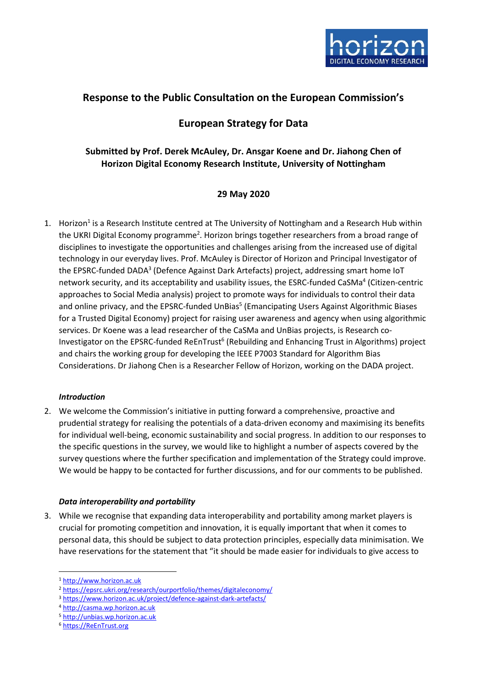

# **Response to the Public Consultation on the European Commission's**

# **European Strategy for Data**

## **Submitted by Prof. Derek McAuley, Dr. Ansgar Koene and Dr. Jiahong Chen of Horizon Digital Economy Research Institute, University of Nottingham**

## **29 May 2020**

1. Horizon<sup>1</sup> is a Research Institute centred at The University of Nottingham and a Research Hub within the UKRI Digital Economy programme<sup>2</sup>. Horizon brings together researchers from a broad range of disciplines to investigate the opportunities and challenges arising from the increased use of digital technology in our everyday lives. Prof. McAuley is Director of Horizon and Principal Investigator of the EPSRC-funded DADA<sup>3</sup> (Defence Against Dark Artefacts) project, addressing smart home IoT network security, and its acceptability and usability issues, the ESRC-funded CaSMa<sup>4</sup> (Citizen-centric approaches to Social Media analysis) project to promote ways for individuals to control their data and online privacy, and the EPSRC-funded UnBias<sup>5</sup> (Emancipating Users Against Algorithmic Biases for a Trusted Digital Economy) project for raising user awareness and agency when using algorithmic services. Dr Koene was a lead researcher of the CaSMa and UnBias projects, is Research co-Investigator on the EPSRC-funded ReEnTrust<sup>6</sup> (Rebuilding and Enhancing Trust in Algorithms) project and chairs the working group for developing the IEEE P7003 Standard for Algorithm Bias Considerations. Dr Jiahong Chen is a Researcher Fellow of Horizon, working on the DADA project.

### *Introduction*

2. We welcome the Commission's initiative in putting forward a comprehensive, proactive and prudential strategy for realising the potentials of a data-driven economy and maximising its benefits for individual well-being, economic sustainability and social progress. In addition to our responses to the specific questions in the survey, we would like to highlight a number of aspects covered by the survey questions where the further specification and implementation of the Strategy could improve. We would be happy to be contacted for further discussions, and for our comments to be published.

### *Data interoperability and portability*

3. While we recognise that expanding data interoperability and portability among market players is crucial for promoting competition and innovation, it is equally important that when it comes to personal data, this should be subject to data protection principles, especially data minimisation. We have reservations for the statement that "it should be made easier for individuals to give access to

<sup>1</sup> [http://www.horizon.ac.uk](http://www.horizon.ac.uk/)

<sup>2</sup> <https://epsrc.ukri.org/research/ourportfolio/themes/digitaleconomy/>

<sup>3</sup> <https://www.horizon.ac.uk/project/defence-against-dark-artefacts/>

<sup>4</sup> [http://casma.wp.horizon.ac.uk](http://casma.wp.horizon.ac.uk/)

<sup>5</sup> [http://unbias.wp.horizon.ac.uk](http://unbias.wp.horizon.ac.uk/)

<sup>6</sup> [https://ReEnTrust.org](https://reentrust.org/)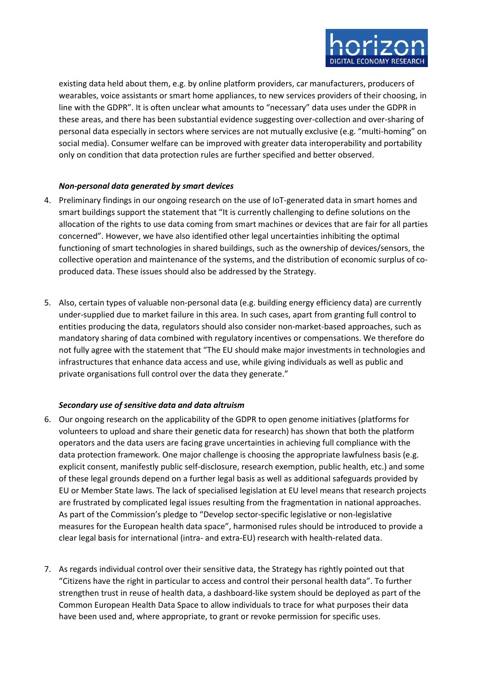

existing data held about them, e.g. by online platform providers, car manufacturers, producers of wearables, voice assistants or smart home appliances, to new services providers of their choosing, in line with the GDPR". It is often unclear what amounts to "necessary" data uses under the GDPR in these areas, and there has been substantial evidence suggesting over-collection and over-sharing of personal data especially in sectors where services are not mutually exclusive (e.g. "multi-homing" on social media). Consumer welfare can be improved with greater data interoperability and portability only on condition that data protection rules are further specified and better observed.

### *Non-personal data generated by smart devices*

- 4. Preliminary findings in our ongoing research on the use of IoT-generated data in smart homes and smart buildings support the statement that "It is currently challenging to define solutions on the allocation of the rights to use data coming from smart machines or devices that are fair for all parties concerned". However, we have also identified other legal uncertainties inhibiting the optimal functioning of smart technologies in shared buildings, such as the ownership of devices/sensors, the collective operation and maintenance of the systems, and the distribution of economic surplus of coproduced data. These issues should also be addressed by the Strategy.
- 5. Also, certain types of valuable non-personal data (e.g. building energy efficiency data) are currently under-supplied due to market failure in this area. In such cases, apart from granting full control to entities producing the data, regulators should also consider non-market-based approaches, such as mandatory sharing of data combined with regulatory incentives or compensations. We therefore do not fully agree with the statement that "The EU should make major investments in technologies and infrastructures that enhance data access and use, while giving individuals as well as public and private organisations full control over the data they generate."

### *Secondary use of sensitive data and data altruism*

- 6. Our ongoing research on the applicability of the GDPR to open genome initiatives (platforms for volunteers to upload and share their genetic data for research) has shown that both the platform operators and the data users are facing grave uncertainties in achieving full compliance with the data protection framework. One major challenge is choosing the appropriate lawfulness basis (e.g. explicit consent, manifestly public self-disclosure, research exemption, public health, etc.) and some of these legal grounds depend on a further legal basis as well as additional safeguards provided by EU or Member State laws. The lack of specialised legislation at EU level means that research projects are frustrated by complicated legal issues resulting from the fragmentation in national approaches. As part of the Commission's pledge to "Develop sector-specific legislative or non-legislative measures for the European health data space", harmonised rules should be introduced to provide a clear legal basis for international (intra- and extra-EU) research with health-related data.
- 7. As regards individual control over their sensitive data, the Strategy has rightly pointed out that "Citizens have the right in particular to access and control their personal health data". To further strengthen trust in reuse of health data, a dashboard-like system should be deployed as part of the Common European Health Data Space to allow individuals to trace for what purposes their data have been used and, where appropriate, to grant or revoke permission for specific uses.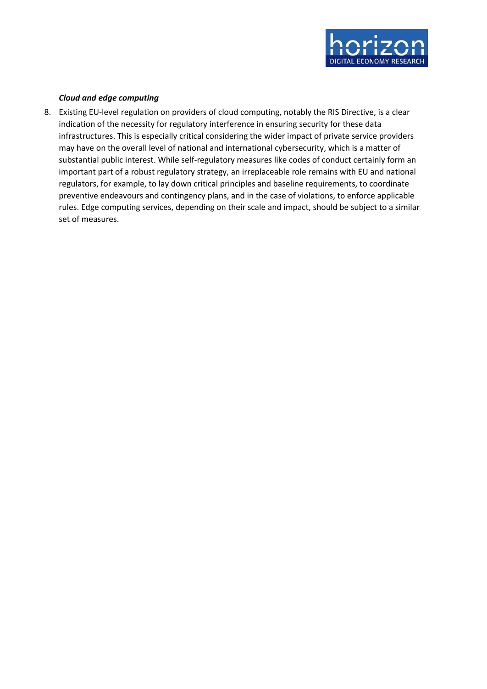

### *Cloud and edge computing*

8. Existing EU-level regulation on providers of cloud computing, notably the RIS Directive, is a clear indication of the necessity for regulatory interference in ensuring security for these data infrastructures. This is especially critical considering the wider impact of private service providers may have on the overall level of national and international cybersecurity, which is a matter of substantial public interest. While self-regulatory measures like codes of conduct certainly form an important part of a robust regulatory strategy, an irreplaceable role remains with EU and national regulators, for example, to lay down critical principles and baseline requirements, to coordinate preventive endeavours and contingency plans, and in the case of violations, to enforce applicable rules. Edge computing services, depending on their scale and impact, should be subject to a similar set of measures.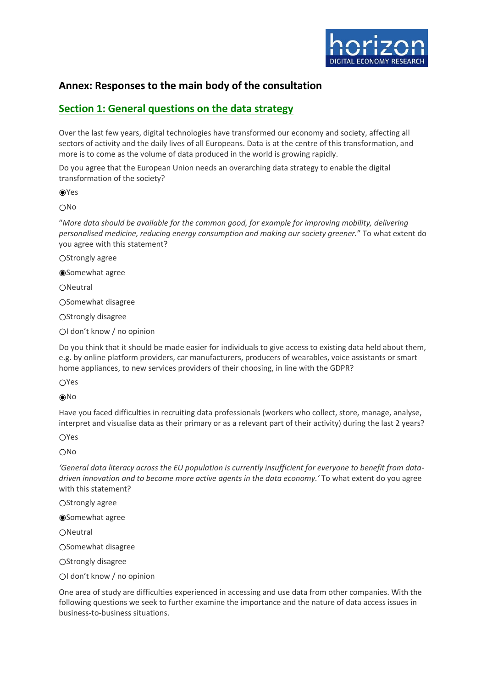

## **Annex: Responses to the main body of the consultation**

## **Section 1: General questions on the data strategy**

Over the last few years, digital technologies have transformed our economy and society, affecting all sectors of activity and the daily lives of all Europeans. Data is at the centre of this transformation, and more is to come as the volume of data produced in the world is growing rapidly.

Do you agree that the European Union needs an overarching data strategy to enable the digital transformation of the society?

◉Yes

○No

"*More data should be available for the common good, for example for improving mobility, delivering personalised medicine, reducing energy consumption and making our society greener.*" To what extent do you agree with this statement?

○Strongly agree

◉Somewhat agree

○Neutral

○Somewhat disagree

○Strongly disagree

○I don't know / no opinion

Do you think that it should be made easier for individuals to give access to existing data held about them, e.g. by online platform providers, car manufacturers, producers of wearables, voice assistants or smart home appliances, to new services providers of their choosing, in line with the GDPR?

○Yes

◉No

Have you faced difficulties in recruiting data professionals (workers who collect, store, manage, analyse, interpret and visualise data as their primary or as a relevant part of their activity) during the last 2 years?

○Yes

○No

*'General data literacy across the EU population is currently insufficient for everyone to benefit from datadriven innovation and to become more active agents in the data economy.'* To what extent do you agree with this statement?

○Strongly agree

◉Somewhat agree

○Neutral

○Somewhat disagree

○Strongly disagree

OI don't know / no opinion

One area of study are difficulties experienced in accessing and use data from other companies. With the following questions we seek to further examine the importance and the nature of data access issues in business-to-business situations.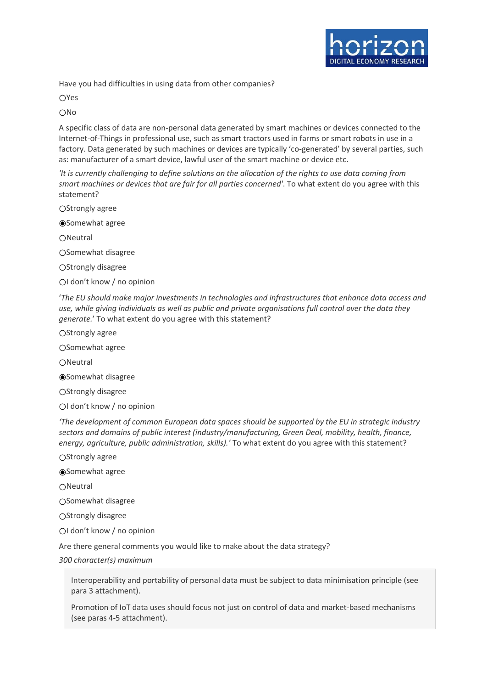

Have you had difficulties in using data from other companies?

○Yes

○No

A specific class of data are non-personal data generated by smart machines or devices connected to the Internet-of-Things in professional use, such as smart tractors used in farms or smart robots in use in a factory. Data generated by such machines or devices are typically 'co-generated' by several parties, such as: manufacturer of a smart device, lawful user of the smart machine or device etc.

*'It is currently challenging to define solutions on the allocation of the rights to use data coming from smart machines or devices that are fair for all parties concerned'*. To what extent do you agree with this statement?

○Strongly agree

◉Somewhat agree

○Neutral

○Somewhat disagree

OStrongly disagree

○I don't know / no opinion

'*The EU should make major investments in technologies and infrastructures that enhance data access and use, while giving individuals as well as public and private organisations full control over the data they generate.*' To what extent do you agree with this statement?

○Strongly agree

○Somewhat agree

○Neutral

◉Somewhat disagree

OStrongly disagree

○I don't know / no opinion

*'The development of common European data spaces should be supported by the EU in strategic industry sectors and domains of public interest (industry/manufacturing, Green Deal, mobility, health, finance, energy, agriculture, public administration, skills).'* To what extent do you agree with this statement?

○Strongly agree

◉Somewhat agree

○Neutral

○Somewhat disagree

○Strongly disagree

○I don't know / no opinion

Are there general comments you would like to make about the data strategy?

*300 character(s) maximum*

Interoperability and portability of personal data must be subject to data minimisation principle (see para 3 attachment).

Promotion of IoT data uses should focus not just on control of data and market-based mechanisms (see paras 4-5 attachment).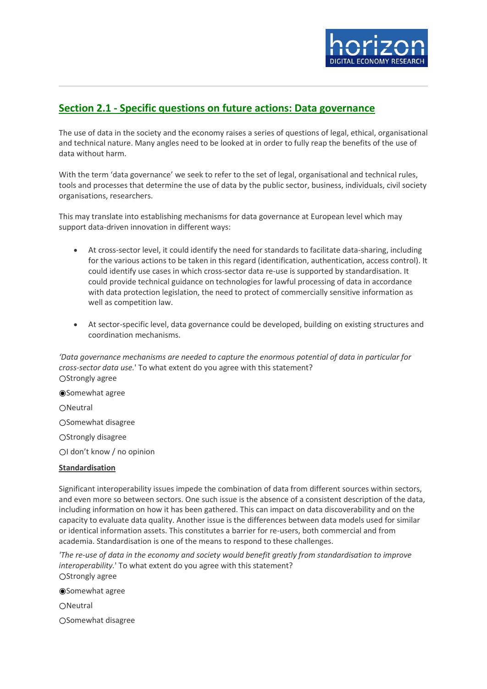

# **Section 2.1 - Specific questions on future actions: Data governance**

The use of data in the society and the economy raises a series of questions of legal, ethical, organisational and technical nature. Many angles need to be looked at in order to fully reap the benefits of the use of data without harm.

With the term 'data governance' we seek to refer to the set of legal, organisational and technical rules, tools and processes that determine the use of data by the public sector, business, individuals, civil society organisations, researchers.

This may translate into establishing mechanisms for data governance at European level which may support data-driven innovation in different ways:

- At cross-sector level, it could identify the need for standards to facilitate data-sharing, including for the various actions to be taken in this regard (identification, authentication, access control). It could identify use cases in which cross-sector data re-use is supported by standardisation. It could provide technical guidance on technologies for lawful processing of data in accordance with data protection legislation, the need to protect of commercially sensitive information as well as competition law.
- At sector-specific level, data governance could be developed, building on existing structures and coordination mechanisms.

*'Data governance mechanisms are needed to capture the enormous potential of data in particular for cross-sector data use.*' To what extent do you agree with this statement? ○Strongly agree

◉Somewhat agree

○Neutral

○Somewhat disagree

OStrongly disagree

○I don't know / no opinion

### **Standardisation**

Significant interoperability issues impede the combination of data from different sources within sectors, and even more so between sectors. One such issue is the absence of a consistent description of the data, including information on how it has been gathered. This can impact on data discoverability and on the capacity to evaluate data quality. Another issue is the differences between data models used for similar or identical information assets. This constitutes a barrier for re-users, both commercial and from academia. Standardisation is one of the means to respond to these challenges.

*'The re-use of data in the economy and society would benefit greatly from standardisation to improve interoperability.*' To what extent do you agree with this statement? ○Strongly agree

◉Somewhat agree

○Neutral

○Somewhat disagree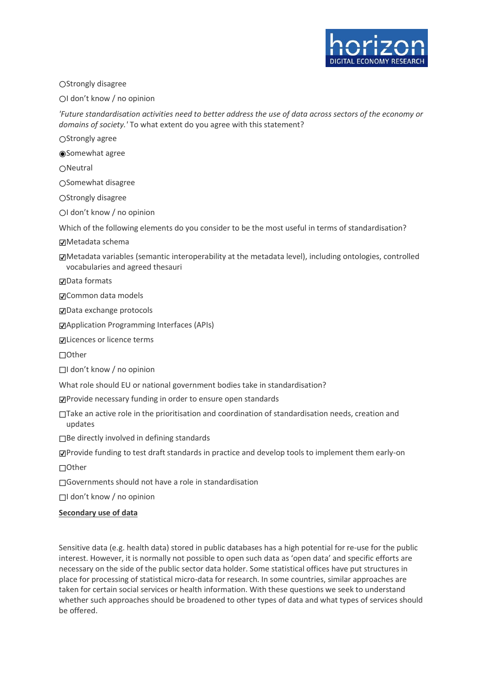

### ○Strongly disagree

○I don't know / no opinion

*'Future standardisation activities need to better address the use of data across sectors of the economy or domains of society.'* To what extent do you agree with this statement?

○Strongly agree

◉Somewhat agree

○Neutral

○Somewhat disagree

○Strongly disagree

○I don't know / no opinion

Which of the following elements do you consider to be the most useful in terms of standardisation?

☑Metadata schema

☑Metadata variables (semantic interoperability at the metadata level), including ontologies, controlled vocabularies and agreed thesauri

☑Data formats

☑Common data models

☑Data exchange protocols

☑Application Programming Interfaces (APIs)

☑Licences or licence terms

☐Other

☐I don't know / no opinion

What role should EU or national government bodies take in standardisation?

☑Provide necessary funding in order to ensure open standards

☐Take an active role in the prioritisation and coordination of standardisation needs, creation and updates

☐Be directly involved in defining standards

☑Provide funding to test draft standards in practice and develop tools to implement them early-on

☐Other

☐Governments should not have a role in standardisation

☐I don't know / no opinion

#### **Secondary use of data**

Sensitive data (e.g. health data) stored in public databases has a high potential for re-use for the public interest. However, it is normally not possible to open such data as 'open data' and specific efforts are necessary on the side of the public sector data holder. Some statistical offices have put structures in place for processing of statistical micro-data for research. In some countries, similar approaches are taken for certain social services or health information. With these questions we seek to understand whether such approaches should be broadened to other types of data and what types of services should be offered.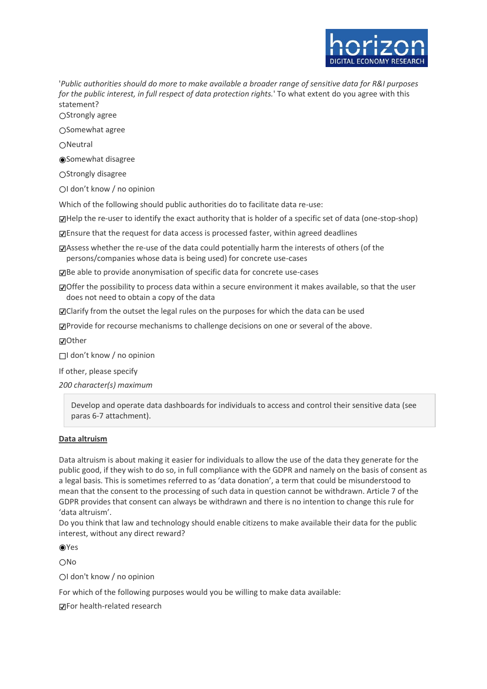

'*Public authorities should do more to make available a broader range of sensitive data for R&I purposes for the public interest, in full respect of data protection rights.*' To what extent do you agree with this statement?

OStrongly agree

○Somewhat agree

○Neutral

◉Somewhat disagree

○Strongly disagree

○I don't know / no opinion

Which of the following should public authorities do to facilitate data re-use:

☑Help the re-user to identify the exact authority that is holder of a specific set of data (one-stop-shop)

☑Ensure that the request for data access is processed faster, within agreed deadlines

☑Assess whether the re-use of the data could potentially harm the interests of others (of the persons/companies whose data is being used) for concrete use-cases

☑Be able to provide anonymisation of specific data for concrete use-cases

☑Offer the possibility to process data within a secure environment it makes available, so that the user does not need to obtain a copy of the data

☑Clarify from the outset the legal rules on the purposes for which the data can be used

☑Provide for recourse mechanisms to challenge decisions on one or several of the above.

☑Other

☐I don't know / no opinion

If other, please specify

*200 character(s) maximum*

Develop and operate data dashboards for individuals to access and control their sensitive data (see paras 6-7 attachment).

#### **Data altruism**

Data altruism is about making it easier for individuals to allow the use of the data they generate for the public good, if they wish to do so, in full compliance with the GDPR and namely on the basis of consent as a legal basis. This is sometimes referred to as 'data donation', a term that could be misunderstood to mean that the consent to the processing of such data in question cannot be withdrawn. Article 7 of the GDPR provides that consent can always be withdrawn and there is no intention to change this rule for 'data altruism'.

Do you think that law and technology should enable citizens to make available their data for the public interest, without any direct reward?

◉Yes

○No

○I don't know / no opinion

For which of the following purposes would you be willing to make data available:

☑For health-related research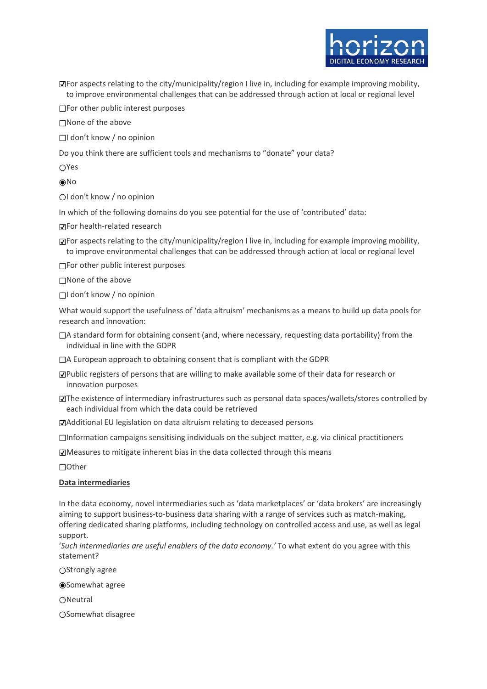☑For aspects relating to the city/municipality/region I live in, including for example improving mobility, to improve environmental challenges that can be addressed through action at local or regional level

□For other public interest purposes

☐None of the above

☐I don't know / no opinion

Do you think there are sufficient tools and mechanisms to "donate" your data?

○Yes

◉No

○I don't know / no opinion

In which of the following domains do you see potential for the use of 'contributed' data:

☑For health-related research

☑For aspects relating to the city/municipality/region I live in, including for example improving mobility, to improve environmental challenges that can be addressed through action at local or regional level

☐For other public interest purposes

☐None of the above

☐I don't know / no opinion

What would support the usefulness of 'data altruism' mechanisms as a means to build up data pools for research and innovation:

 $\Box$ A standard form for obtaining consent (and, where necessary, requesting data portability) from the individual in line with the GDPR

☐A European approach to obtaining consent that is compliant with the GDPR

☑Public registers of persons that are willing to make available some of their data for research or innovation purposes

☑The existence of intermediary infrastructures such as personal data spaces/wallets/stores controlled by each individual from which the data could be retrieved

☑Additional EU legislation on data altruism relating to deceased persons

☐Information campaigns sensitising individuals on the subject matter, e.g. via clinical practitioners

☑Measures to mitigate inherent bias in the data collected through this means

☐Other

#### **Data intermediaries**

In the data economy, novel intermediaries such as 'data marketplaces' or 'data brokers' are increasingly aiming to support business-to-business data sharing with a range of services such as match-making, offering dedicated sharing platforms, including technology on controlled access and use, as well as legal support.

'*Such intermediaries are useful enablers of the data economy.'* To what extent do you agree with this statement?

○Strongly agree

◉Somewhat agree

○Neutral

○Somewhat disagree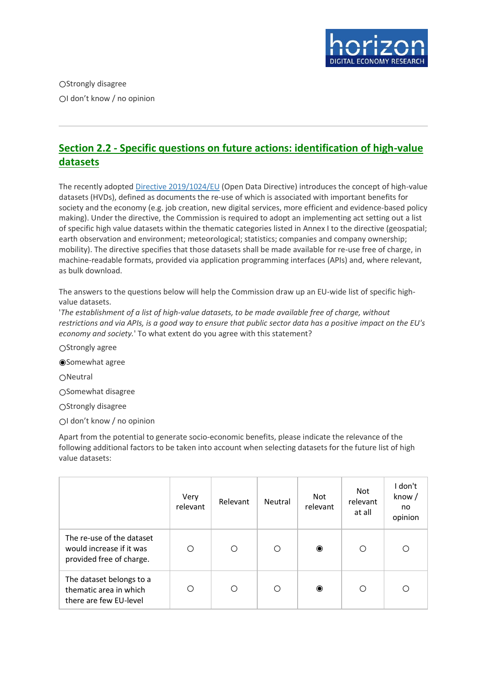

○Strongly disagree ○I don't know / no opinion

# **Section 2.2 - Specific questions on future actions: identification of high-value datasets**

The recently adopted [Directive 2019/1024/EU](https://ec.europa.eu/digital-single-market/en/european-legislation-reuse-public-sector-information) (Open Data Directive) introduces the concept of high-value datasets (HVDs), defined as documents the re-use of which is associated with important benefits for society and the economy (e.g. job creation, new digital services, more efficient and evidence-based policy making). Under the directive, the Commission is required to adopt an implementing act setting out a list of specific high value datasets within the thematic categories listed in Annex I to the directive (geospatial; earth observation and environment; meteorological; statistics; companies and company ownership; mobility). The directive specifies that those datasets shall be made available for re-use free of charge, in machine-readable formats, provided via application programming interfaces (APIs) and, where relevant, as bulk download.

The answers to the questions below will help the Commission draw up an EU-wide list of specific highvalue datasets.

'*The establishment of a list of high-value datasets, to be made available free of charge, without restrictions and via APIs, is a good way to ensure that public sector data has a positive impact on the EU's economy and society.*' To what extent do you agree with this statement?

○Strongly agree

◉Somewhat agree

○Neutral

○Somewhat disagree

○Strongly disagree

○I don't know / no opinion

Apart from the potential to generate socio-economic benefits, please indicate the relevance of the following additional factors to be taken into account when selecting datasets for the future list of high value datasets:

|                                                                                   | Very<br>relevant | Relevant | Neutral | Not<br>relevant | Not<br>relevant<br>at all | I don't<br>know/<br>no<br>opinion |
|-----------------------------------------------------------------------------------|------------------|----------|---------|-----------------|---------------------------|-----------------------------------|
| The re-use of the dataset<br>would increase if it was<br>provided free of charge. | С                | Ω        | Ο       | $\bullet$       | Ω                         | Ω                                 |
| The dataset belongs to a<br>thematic area in which<br>there are few EU-level      | O                | ∩        | Ο       | $\bullet$       | ∩                         | Ω                                 |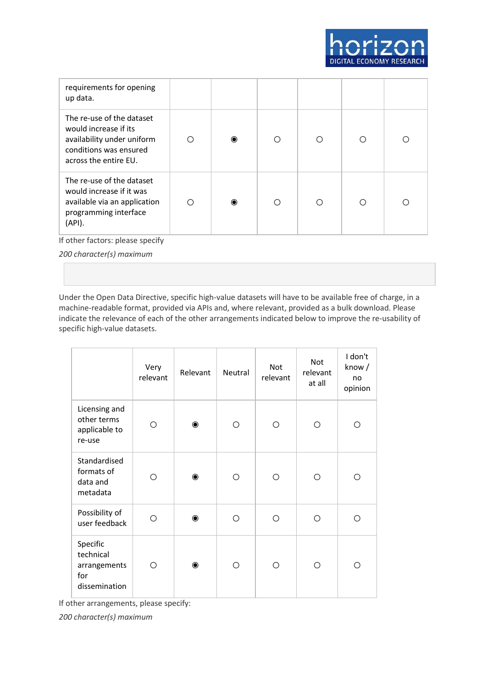

| requirements for opening<br>up data.                                                                                                |   |           |   |   |   |   |
|-------------------------------------------------------------------------------------------------------------------------------------|---|-----------|---|---|---|---|
| The re-use of the dataset<br>would increase if its<br>availability under uniform<br>conditions was ensured<br>across the entire EU. | ∩ | $\bullet$ | ∩ | ∩ | ∩ | Ω |
| The re-use of the dataset<br>would increase if it was<br>available via an application<br>programming interface<br>(API).            | ∩ | ◉         | Ω | O | ∩ | ∩ |
| If other factors: please specify<br>200 character(s) maximum                                                                        |   |           |   |   |   |   |

Under the Open Data Directive, specific high-value datasets will have to be available free of charge, in a machine-readable format, provided via APIs and, where relevant, provided as a bulk download. Please indicate the relevance of each of the other arrangements indicated below to improve the re-usability of specific high-value datasets.

|                                                               | Very<br>relevant | Relevant  | Neutral    | Not<br>relevant | Not<br>relevant<br>at all | I don't<br>know/<br>no<br>opinion |
|---------------------------------------------------------------|------------------|-----------|------------|-----------------|---------------------------|-----------------------------------|
| Licensing and<br>other terms<br>applicable to<br>re-use       | Ο                | $\bullet$ | O          | О               | О                         | O                                 |
| Standardised<br>formats of<br>data and<br>metadata            | O                | $\bullet$ | $\bigcirc$ | O               | Ω                         | Ω                                 |
| Possibility of<br>user feedback                               | ∩                | $\bullet$ | Ω          | ∩               | ∩                         | Ω                                 |
| Specific<br>technical<br>arrangements<br>for<br>dissemination | ∩                | $\bullet$ | Ω          | ∩               | Ω                         | Ω                                 |

If other arrangements, please specify:

*200 character(s) maximum*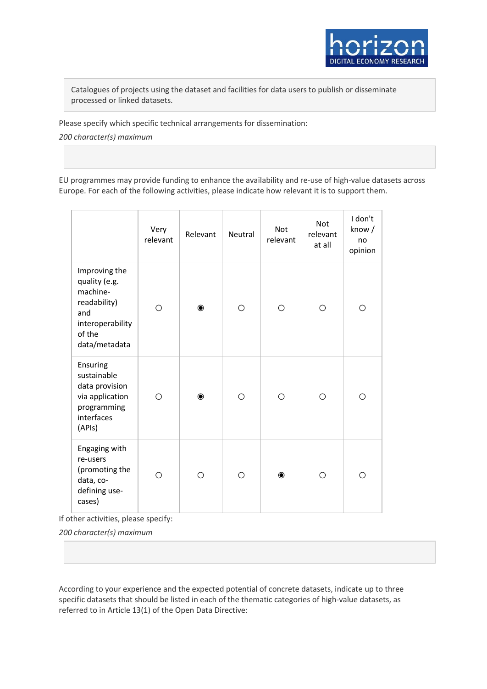

Catalogues of projects using the dataset and facilities for data users to publish or disseminate processed or linked datasets.

Please specify which specific technical arrangements for dissemination:

*200 character(s) maximum*

EU programmes may provide funding to enhance the availability and re-use of high-value datasets across Europe. For each of the following activities, please indicate how relevant it is to support them.

|                                                                                                                  | Very<br>relevant | Relevant  | Neutral | Not<br>relevant | <b>Not</b><br>relevant<br>at all | I don't<br>know/<br>no<br>opinion |
|------------------------------------------------------------------------------------------------------------------|------------------|-----------|---------|-----------------|----------------------------------|-----------------------------------|
| Improving the<br>quality (e.g.<br>machine-<br>readability)<br>and<br>interoperability<br>of the<br>data/metadata | О                | $\bullet$ | O       | O               | О                                | О                                 |
| Ensuring<br>sustainable<br>data provision<br>via application<br>programming<br>interfaces<br>(APIs)              | Ω                | $\bullet$ | O       | O               | O                                | O                                 |
| Engaging with<br>re-users<br>(promoting the<br>data, co-<br>defining use-<br>cases)                              | Ο                | O         | O       | $\bullet$       | O                                | О                                 |

If other activities, please specify:

*200 character(s) maximum*

According to your experience and the expected potential of concrete datasets, indicate up to three specific datasets that should be listed in each of the thematic categories of high-value datasets, as referred to in Article 13(1) of the Open Data Directive: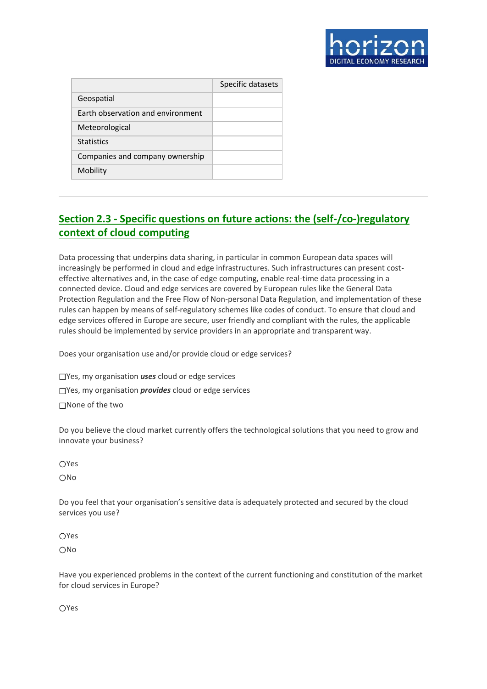

|                                          | Specific datasets |
|------------------------------------------|-------------------|
| Geospatial                               |                   |
| <b>Farth observation and environment</b> |                   |
| Meteorological                           |                   |
| <b>Statistics</b>                        |                   |
| Companies and company ownership          |                   |
| Mobility                                 |                   |

# **Section 2.3 - Specific questions on future actions: the (self-/co-)regulatory context of cloud computing**

Data processing that underpins data sharing, in particular in common European data spaces will increasingly be performed in cloud and edge infrastructures. Such infrastructures can present costeffective alternatives and, in the case of edge computing, enable real-time data processing in a connected device. Cloud and edge services are covered by European rules like the General Data Protection Regulation and the Free Flow of Non-personal Data Regulation, and implementation of these rules can happen by means of self-regulatory schemes like codes of conduct. To ensure that cloud and edge services offered in Europe are secure, user friendly and compliant with the rules, the applicable rules should be implemented by service providers in an appropriate and transparent way.

Does your organisation use and/or provide cloud or edge services?

☐Yes, my organisation *uses* cloud or edge services

☐Yes, my organisation *provides* cloud or edge services

☐None of the two

Do you believe the cloud market currently offers the technological solutions that you need to grow and innovate your business?

**OYes** 

○No

Do you feel that your organisation's sensitive data is adequately protected and secured by the cloud services you use?

○Yes ○No

Have you experienced problems in the context of the current functioning and constitution of the market for cloud services in Europe?

○Yes